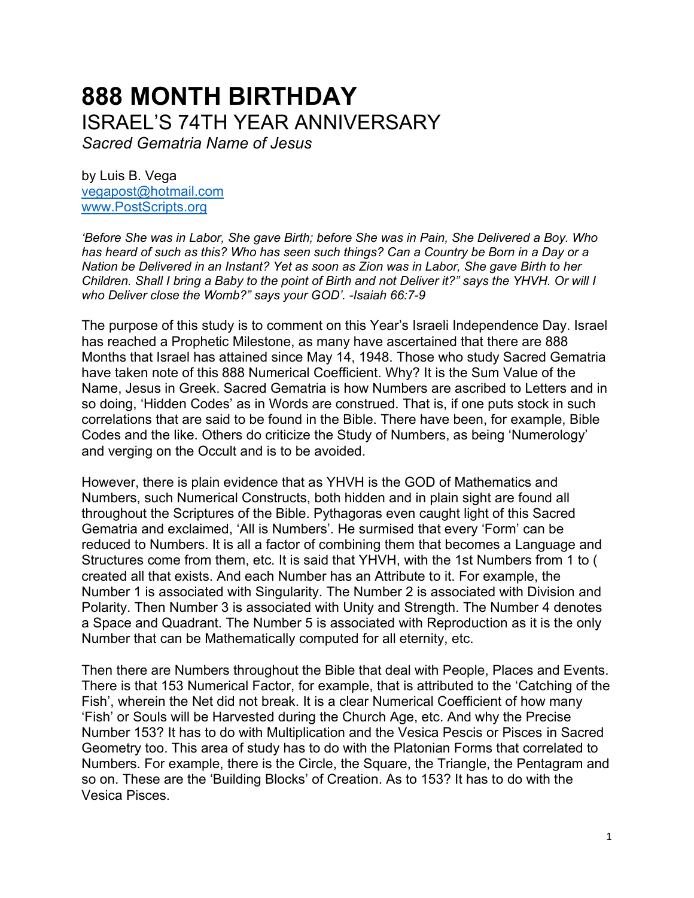# **888 MONTH BIRTHDAY** ISRAEL'S 74TH YEAR ANNIVERSARY

*Sacred Gematria Name of Jesus*

by Luis B. Vega [vegapost@hotmail.com](mailto:vegapost@hotmail.com) [www.PostScripts.org](http://www.postscripts.org/)

*'Before She was in Labor, She gave Birth; before She was in Pain, She Delivered a Boy. Who has heard of such as this? Who has seen such things? Can a Country be Born in a Day or a Nation be Delivered in an Instant? Yet as soon as Zion was in Labor, She gave Birth to her Children. Shall I bring a Baby to the point of Birth and not Deliver it?" says the YHVH. Or will I who Deliver close the Womb?" says your GOD'. -Isaiah 66:7-9*

The purpose of this study is to comment on this Year's Israeli Independence Day. Israel has reached a Prophetic Milestone, as many have ascertained that there are 888 Months that Israel has attained since May 14, 1948. Those who study Sacred Gematria have taken note of this 888 Numerical Coefficient. Why? It is the Sum Value of the Name, Jesus in Greek. Sacred Gematria is how Numbers are ascribed to Letters and in so doing, 'Hidden Codes' as in Words are construed. That is, if one puts stock in such correlations that are said to be found in the Bible. There have been, for example, Bible Codes and the like. Others do criticize the Study of Numbers, as being 'Numerology' and verging on the Occult and is to be avoided.

However, there is plain evidence that as YHVH is the GOD of Mathematics and Numbers, such Numerical Constructs, both hidden and in plain sight are found all throughout the Scriptures of the Bible. Pythagoras even caught light of this Sacred Gematria and exclaimed, 'All is Numbers'. He surmised that every 'Form' can be reduced to Numbers. It is all a factor of combining them that becomes a Language and Structures come from them, etc. It is said that YHVH, with the 1st Numbers from 1 to ( created all that exists. And each Number has an Attribute to it. For example, the Number 1 is associated with Singularity. The Number 2 is associated with Division and Polarity. Then Number 3 is associated with Unity and Strength. The Number 4 denotes a Space and Quadrant. The Number 5 is associated with Reproduction as it is the only Number that can be Mathematically computed for all eternity, etc.

Then there are Numbers throughout the Bible that deal with People, Places and Events. There is that 153 Numerical Factor, for example, that is attributed to the 'Catching of the Fish', wherein the Net did not break. It is a clear Numerical Coefficient of how many 'Fish' or Souls will be Harvested during the Church Age, etc. And why the Precise Number 153? It has to do with Multiplication and the Vesica Pescis or Pisces in Sacred Geometry too. This area of study has to do with the Platonian Forms that correlated to Numbers. For example, there is the Circle, the Square, the Triangle, the Pentagram and so on. These are the 'Building Blocks' of Creation. As to 153? It has to do with the Vesica Pisces.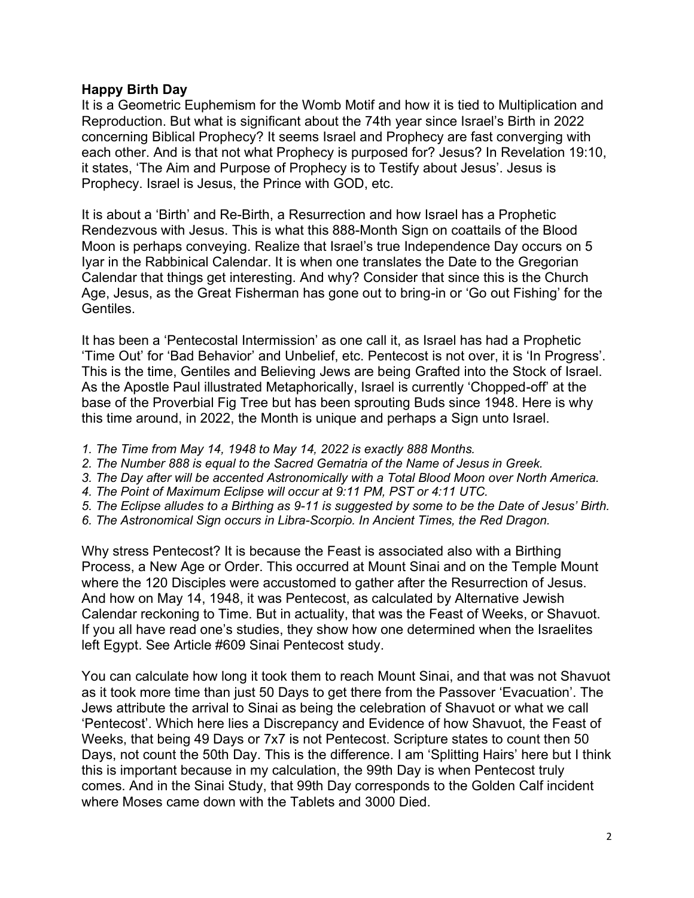## **Happy Birth Day**

It is a Geometric Euphemism for the Womb Motif and how it is tied to Multiplication and Reproduction. But what is significant about the 74th year since Israel's Birth in 2022 concerning Biblical Prophecy? It seems Israel and Prophecy are fast converging with each other. And is that not what Prophecy is purposed for? Jesus? In Revelation 19:10, it states, 'The Aim and Purpose of Prophecy is to Testify about Jesus'. Jesus is Prophecy. Israel is Jesus, the Prince with GOD, etc.

It is about a 'Birth' and Re-Birth, a Resurrection and how Israel has a Prophetic Rendezvous with Jesus. This is what this 888-Month Sign on coattails of the Blood Moon is perhaps conveying. Realize that Israel's true Independence Day occurs on 5 Iyar in the Rabbinical Calendar. It is when one translates the Date to the Gregorian Calendar that things get interesting. And why? Consider that since this is the Church Age, Jesus, as the Great Fisherman has gone out to bring-in or 'Go out Fishing' for the Gentiles.

It has been a 'Pentecostal Intermission' as one call it, as Israel has had a Prophetic 'Time Out' for 'Bad Behavior' and Unbelief, etc. Pentecost is not over, it is 'In Progress'. This is the time, Gentiles and Believing Jews are being Grafted into the Stock of Israel. As the Apostle Paul illustrated Metaphorically, Israel is currently 'Chopped-off' at the base of the Proverbial Fig Tree but has been sprouting Buds since 1948. Here is why this time around, in 2022, the Month is unique and perhaps a Sign unto Israel.

- *1. The Time from May 14, 1948 to May 14, 2022 is exactly 888 Months.*
- *2. The Number 888 is equal to the Sacred Gematria of the Name of Jesus in Greek.*
- *3. The Day after will be accented Astronomically with a Total Blood Moon over North America.*
- *4. The Point of Maximum Eclipse will occur at 9:11 PM, PST or 4:11 UTC.*
- *5. The Eclipse alludes to a Birthing as 9-11 is suggested by some to be the Date of Jesus' Birth.*
- *6. The Astronomical Sign occurs in Libra-Scorpio. In Ancient Times, the Red Dragon.*

Why stress Pentecost? It is because the Feast is associated also with a Birthing Process, a New Age or Order. This occurred at Mount Sinai and on the Temple Mount where the 120 Disciples were accustomed to gather after the Resurrection of Jesus. And how on May 14, 1948, it was Pentecost, as calculated by Alternative Jewish Calendar reckoning to Time. But in actuality, that was the Feast of Weeks, or Shavuot. If you all have read one's studies, they show how one determined when the Israelites left Egypt. See Article #609 Sinai Pentecost study.

You can calculate how long it took them to reach Mount Sinai, and that was not Shavuot as it took more time than just 50 Days to get there from the Passover 'Evacuation'. The Jews attribute the arrival to Sinai as being the celebration of Shavuot or what we call 'Pentecost'. Which here lies a Discrepancy and Evidence of how Shavuot, the Feast of Weeks, that being 49 Days or 7x7 is not Pentecost. Scripture states to count then 50 Days, not count the 50th Day. This is the difference. I am 'Splitting Hairs' here but I think this is important because in my calculation, the 99th Day is when Pentecost truly comes. And in the Sinai Study, that 99th Day corresponds to the Golden Calf incident where Moses came down with the Tablets and 3000 Died.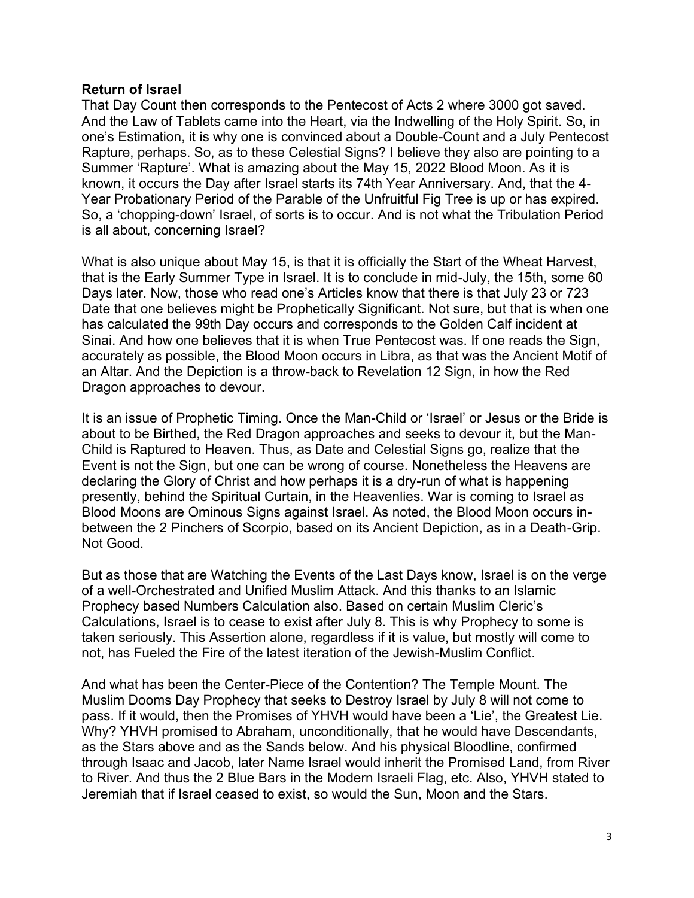## **Return of Israel**

That Day Count then corresponds to the Pentecost of Acts 2 where 3000 got saved. And the Law of Tablets came into the Heart, via the Indwelling of the Holy Spirit. So, in one's Estimation, it is why one is convinced about a Double-Count and a July Pentecost Rapture, perhaps. So, as to these Celestial Signs? I believe they also are pointing to a Summer 'Rapture'. What is amazing about the May 15, 2022 Blood Moon. As it is known, it occurs the Day after Israel starts its 74th Year Anniversary. And, that the 4- Year Probationary Period of the Parable of the Unfruitful Fig Tree is up or has expired. So, a 'chopping-down' Israel, of sorts is to occur. And is not what the Tribulation Period is all about, concerning Israel?

What is also unique about May 15, is that it is officially the Start of the Wheat Harvest, that is the Early Summer Type in Israel. It is to conclude in mid-July, the 15th, some 60 Days later. Now, those who read one's Articles know that there is that July 23 or 723 Date that one believes might be Prophetically Significant. Not sure, but that is when one has calculated the 99th Day occurs and corresponds to the Golden Calf incident at Sinai. And how one believes that it is when True Pentecost was. If one reads the Sign, accurately as possible, the Blood Moon occurs in Libra, as that was the Ancient Motif of an Altar. And the Depiction is a throw-back to Revelation 12 Sign, in how the Red Dragon approaches to devour.

It is an issue of Prophetic Timing. Once the Man-Child or 'Israel' or Jesus or the Bride is about to be Birthed, the Red Dragon approaches and seeks to devour it, but the Man-Child is Raptured to Heaven. Thus, as Date and Celestial Signs go, realize that the Event is not the Sign, but one can be wrong of course. Nonetheless the Heavens are declaring the Glory of Christ and how perhaps it is a dry-run of what is happening presently, behind the Spiritual Curtain, in the Heavenlies. War is coming to Israel as Blood Moons are Ominous Signs against Israel. As noted, the Blood Moon occurs inbetween the 2 Pinchers of Scorpio, based on its Ancient Depiction, as in a Death-Grip. Not Good.

But as those that are Watching the Events of the Last Days know, Israel is on the verge of a well-Orchestrated and Unified Muslim Attack. And this thanks to an Islamic Prophecy based Numbers Calculation also. Based on certain Muslim Cleric's Calculations, Israel is to cease to exist after July 8. This is why Prophecy to some is taken seriously. This Assertion alone, regardless if it is value, but mostly will come to not, has Fueled the Fire of the latest iteration of the Jewish-Muslim Conflict.

And what has been the Center-Piece of the Contention? The Temple Mount. The Muslim Dooms Day Prophecy that seeks to Destroy Israel by July 8 will not come to pass. If it would, then the Promises of YHVH would have been a 'Lie', the Greatest Lie. Why? YHVH promised to Abraham, unconditionally, that he would have Descendants, as the Stars above and as the Sands below. And his physical Bloodline, confirmed through Isaac and Jacob, later Name Israel would inherit the Promised Land, from River to River. And thus the 2 Blue Bars in the Modern Israeli Flag, etc. Also, YHVH stated to Jeremiah that if Israel ceased to exist, so would the Sun, Moon and the Stars.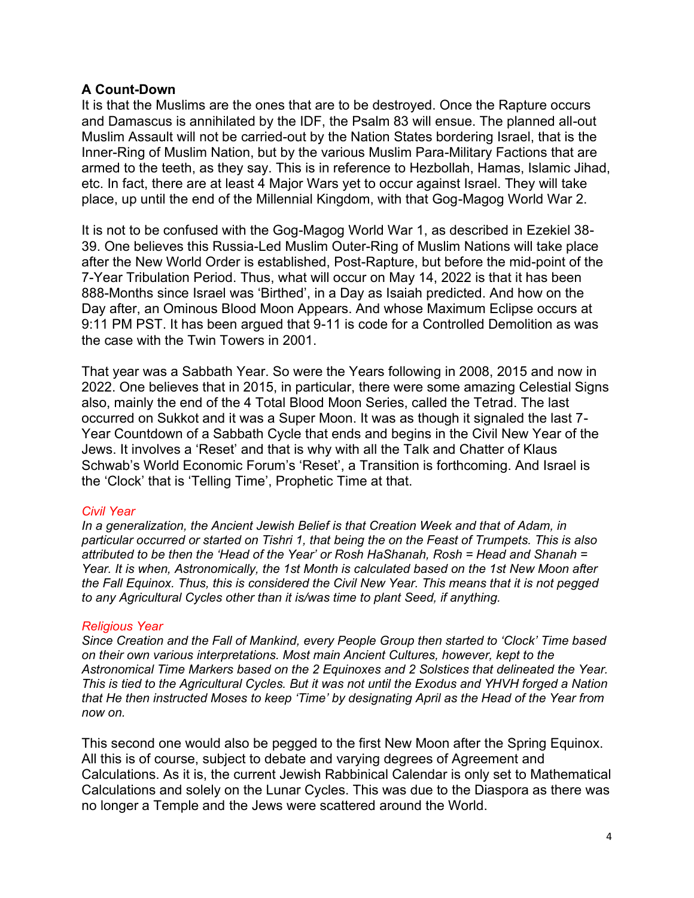### **A Count-Down**

It is that the Muslims are the ones that are to be destroyed. Once the Rapture occurs and Damascus is annihilated by the IDF, the Psalm 83 will ensue. The planned all-out Muslim Assault will not be carried-out by the Nation States bordering Israel, that is the Inner-Ring of Muslim Nation, but by the various Muslim Para-Military Factions that are armed to the teeth, as they say. This is in reference to Hezbollah, Hamas, Islamic Jihad, etc. In fact, there are at least 4 Major Wars yet to occur against Israel. They will take place, up until the end of the Millennial Kingdom, with that Gog-Magog World War 2.

It is not to be confused with the Gog-Magog World War 1, as described in Ezekiel 38- 39. One believes this Russia-Led Muslim Outer-Ring of Muslim Nations will take place after the New World Order is established, Post-Rapture, but before the mid-point of the 7-Year Tribulation Period. Thus, what will occur on May 14, 2022 is that it has been 888-Months since Israel was 'Birthed', in a Day as Isaiah predicted. And how on the Day after, an Ominous Blood Moon Appears. And whose Maximum Eclipse occurs at 9:11 PM PST. It has been argued that 9-11 is code for a Controlled Demolition as was the case with the Twin Towers in 2001.

That year was a Sabbath Year. So were the Years following in 2008, 2015 and now in 2022. One believes that in 2015, in particular, there were some amazing Celestial Signs also, mainly the end of the 4 Total Blood Moon Series, called the Tetrad. The last occurred on Sukkot and it was a Super Moon. It was as though it signaled the last 7- Year Countdown of a Sabbath Cycle that ends and begins in the Civil New Year of the Jews. It involves a 'Reset' and that is why with all the Talk and Chatter of Klaus Schwab's World Economic Forum's 'Reset', a Transition is forthcoming. And Israel is the 'Clock' that is 'Telling Time', Prophetic Time at that.

#### *Civil Year*

*In a generalization, the Ancient Jewish Belief is that Creation Week and that of Adam, in particular occurred or started on Tishri 1, that being the on the Feast of Trumpets. This is also attributed to be then the 'Head of the Year' or Rosh HaShanah, Rosh = Head and Shanah = Year. It is when, Astronomically, the 1st Month is calculated based on the 1st New Moon after the Fall Equinox. Thus, this is considered the Civil New Year. This means that it is not pegged to any Agricultural Cycles other than it is/was time to plant Seed, if anything.*

#### *Religious Year*

*Since Creation and the Fall of Mankind, every People Group then started to 'Clock' Time based on their own various interpretations. Most main Ancient Cultures, however, kept to the Astronomical Time Markers based on the 2 Equinoxes and 2 Solstices that delineated the Year. This is tied to the Agricultural Cycles. But it was not until the Exodus and YHVH forged a Nation that He then instructed Moses to keep 'Time' by designating April as the Head of the Year from now on.*

This second one would also be pegged to the first New Moon after the Spring Equinox. All this is of course, subject to debate and varying degrees of Agreement and Calculations. As it is, the current Jewish Rabbinical Calendar is only set to Mathematical Calculations and solely on the Lunar Cycles. This was due to the Diaspora as there was no longer a Temple and the Jews were scattered around the World.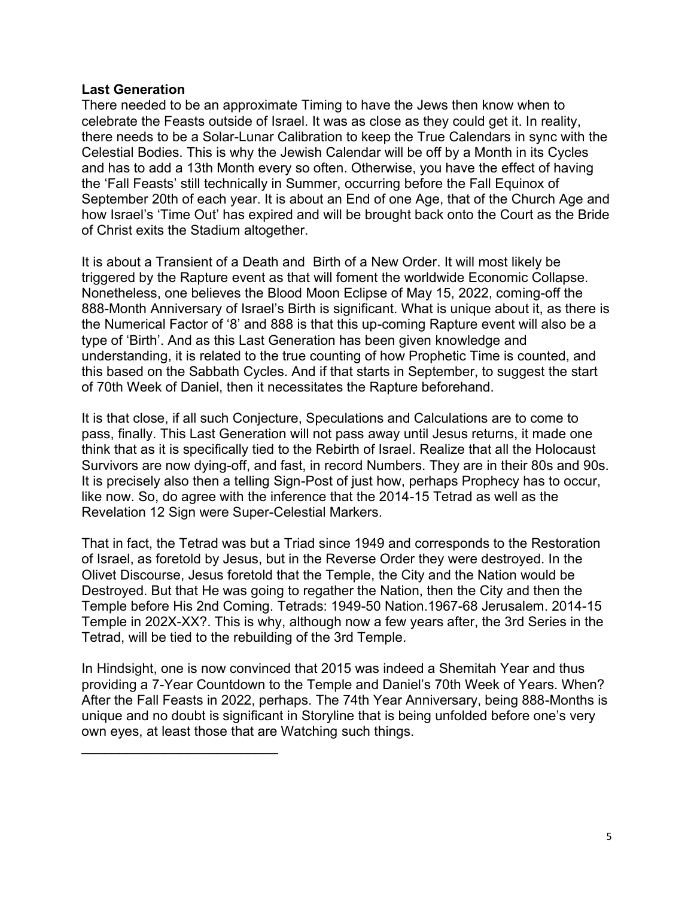## **Last Generation**

There needed to be an approximate Timing to have the Jews then know when to celebrate the Feasts outside of Israel. It was as close as they could get it. In reality, there needs to be a Solar-Lunar Calibration to keep the True Calendars in sync with the Celestial Bodies. This is why the Jewish Calendar will be off by a Month in its Cycles and has to add a 13th Month every so often. Otherwise, you have the effect of having the 'Fall Feasts' still technically in Summer, occurring before the Fall Equinox of September 20th of each year. It is about an End of one Age, that of the Church Age and how Israel's 'Time Out' has expired and will be brought back onto the Court as the Bride of Christ exits the Stadium altogether.

It is about a Transient of a Death and Birth of a New Order. It will most likely be triggered by the Rapture event as that will foment the worldwide Economic Collapse. Nonetheless, one believes the Blood Moon Eclipse of May 15, 2022, coming-off the 888-Month Anniversary of Israel's Birth is significant. What is unique about it, as there is the Numerical Factor of '8' and 888 is that this up-coming Rapture event will also be a type of 'Birth'. And as this Last Generation has been given knowledge and understanding, it is related to the true counting of how Prophetic Time is counted, and this based on the Sabbath Cycles. And if that starts in September, to suggest the start of 70th Week of Daniel, then it necessitates the Rapture beforehand.

It is that close, if all such Conjecture, Speculations and Calculations are to come to pass, finally. This Last Generation will not pass away until Jesus returns, it made one think that as it is specifically tied to the Rebirth of Israel. Realize that all the Holocaust Survivors are now dying-off, and fast, in record Numbers. They are in their 80s and 90s. It is precisely also then a telling Sign-Post of just how, perhaps Prophecy has to occur, like now. So, do agree with the inference that the 2014-15 Tetrad as well as the Revelation 12 Sign were Super-Celestial Markers.

That in fact, the Tetrad was but a Triad since 1949 and corresponds to the Restoration of Israel, as foretold by Jesus, but in the Reverse Order they were destroyed. In the Olivet Discourse, Jesus foretold that the Temple, the City and the Nation would be Destroyed. But that He was going to regather the Nation, then the City and then the Temple before His 2nd Coming. Tetrads: 1949-50 Nation.1967-68 Jerusalem. 2014-15 Temple in 202X-XX?. This is why, although now a few years after, the 3rd Series in the Tetrad, will be tied to the rebuilding of the 3rd Temple.

In Hindsight, one is now convinced that 2015 was indeed a Shemitah Year and thus providing a 7-Year Countdown to the Temple and Daniel's 70th Week of Years. When? After the Fall Feasts in 2022, perhaps. The 74th Year Anniversary, being 888-Months is unique and no doubt is significant in Storyline that is being unfolded before one's very own eyes, at least those that are Watching such things.

 $\mathcal{L}_\text{max}$  , where  $\mathcal{L}_\text{max}$  , we have the set of the set of the set of the set of the set of the set of the set of the set of the set of the set of the set of the set of the set of the set of the set of the set of